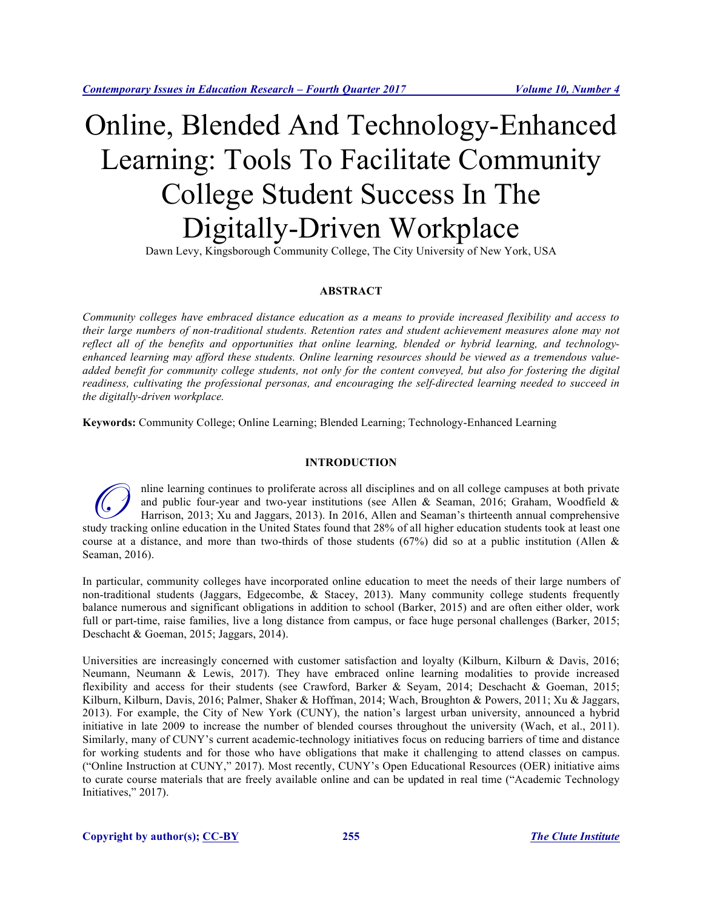# Online, Blended And Technology-Enhanced Learning: Tools To Facilitate Community College Student Success In The Digitally-Driven Workplace

Dawn Levy, Kingsborough Community College, The City University of New York, USA

# **ABSTRACT**

*Community colleges have embraced distance education as a means to provide increased flexibility and access to their large numbers of non-traditional students. Retention rates and student achievement measures alone may not reflect all of the benefits and opportunities that online learning, blended or hybrid learning, and technologyenhanced learning may afford these students. Online learning resources should be viewed as a tremendous valueadded benefit for community college students, not only for the content conveyed, but also for fostering the digital readiness, cultivating the professional personas, and encouraging the self-directed learning needed to succeed in the digitally-driven workplace.* 

**Keywords:** Community College; Online Learning; Blended Learning; Technology-Enhanced Learning

# **INTRODUCTION**

nline learning continues to proliferate across all disciplines and on all college campuses at both private and public four-year and two-year institutions (see Allen & Seaman, 2016; Graham, Woodfield & Harrison, 2013; Xu and Jaggars, 2013). In 2016, Allen and Seaman's thirteenth annual comprehensive Thin external provides to proliferate across all disciplines and on all college campuses at both private and public four-year and two-year institutions (see Allen & Seaman, 2016; Graham, Woodfield & Harrison, 2013; Xu and course at a distance, and more than two-thirds of those students (67%) did so at a public institution (Allen & Seaman, 2016).

In particular, community colleges have incorporated online education to meet the needs of their large numbers of non-traditional students (Jaggars, Edgecombe, & Stacey, 2013). Many community college students frequently balance numerous and significant obligations in addition to school (Barker, 2015) and are often either older, work full or part-time, raise families, live a long distance from campus, or face huge personal challenges (Barker, 2015; Deschacht & Goeman, 2015; Jaggars, 2014).

Universities are increasingly concerned with customer satisfaction and loyalty (Kilburn, Kilburn & Davis, 2016; Neumann, Neumann & Lewis, 2017). They have embraced online learning modalities to provide increased flexibility and access for their students (see Crawford, Barker & Seyam, 2014; Deschacht & Goeman, 2015; Kilburn, Kilburn, Davis, 2016; Palmer, Shaker & Hoffman, 2014; Wach, Broughton & Powers, 2011; Xu & Jaggars, 2013). For example, the City of New York (CUNY), the nation's largest urban university, announced a hybrid initiative in late 2009 to increase the number of blended courses throughout the university (Wach, et al., 2011). Similarly, many of CUNY's current academic-technology initiatives focus on reducing barriers of time and distance for working students and for those who have obligations that make it challenging to attend classes on campus. ("Online Instruction at CUNY," 2017). Most recently, CUNY's Open Educational Resources (OER) initiative aims to curate course materials that are freely available online and can be updated in real time ("Academic Technology Initiatives," 2017).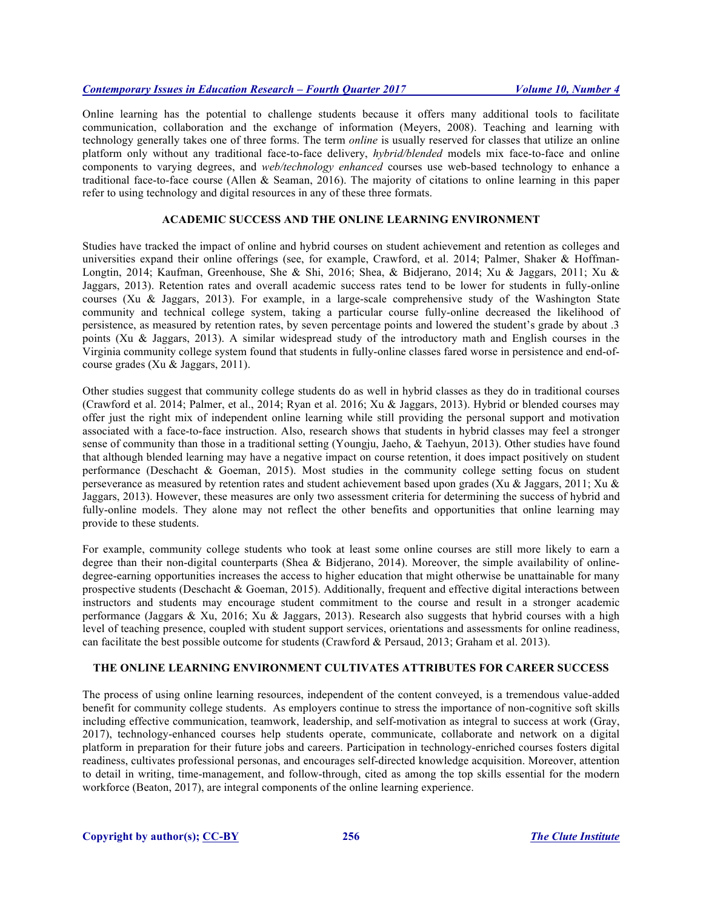# *Contemporary Issues in Education Research – Fourth Quarter 2017 Volume 10, Number 4*

Online learning has the potential to challenge students because it offers many additional tools to facilitate communication, collaboration and the exchange of information (Meyers, 2008). Teaching and learning with technology generally takes one of three forms. The term *online* is usually reserved for classes that utilize an online platform only without any traditional face-to-face delivery, *hybrid/blended* models mix face-to-face and online components to varying degrees, and *web/technology enhanced* courses use web-based technology to enhance a traditional face-to-face course (Allen & Seaman, 2016). The majority of citations to online learning in this paper refer to using technology and digital resources in any of these three formats.

## **ACADEMIC SUCCESS AND THE ONLINE LEARNING ENVIRONMENT**

Studies have tracked the impact of online and hybrid courses on student achievement and retention as colleges and universities expand their online offerings (see, for example, Crawford, et al. 2014; Palmer, Shaker & Hoffman-Longtin, 2014; Kaufman, Greenhouse, She & Shi, 2016; Shea, & Bidjerano, 2014; Xu & Jaggars, 2011; Xu & Jaggars, 2013). Retention rates and overall academic success rates tend to be lower for students in fully-online courses (Xu & Jaggars, 2013). For example, in a large-scale comprehensive study of the Washington State community and technical college system, taking a particular course fully-online decreased the likelihood of persistence, as measured by retention rates, by seven percentage points and lowered the student's grade by about .3 points (Xu & Jaggars, 2013). A similar widespread study of the introductory math and English courses in the Virginia community college system found that students in fully-online classes fared worse in persistence and end-ofcourse grades (Xu & Jaggars, 2011).

Other studies suggest that community college students do as well in hybrid classes as they do in traditional courses (Crawford et al. 2014; Palmer, et al., 2014; Ryan et al. 2016; Xu & Jaggars, 2013). Hybrid or blended courses may offer just the right mix of independent online learning while still providing the personal support and motivation associated with a face-to-face instruction. Also, research shows that students in hybrid classes may feel a stronger sense of community than those in a traditional setting (Youngju, Jaeho, & Taehyun, 2013). Other studies have found that although blended learning may have a negative impact on course retention, it does impact positively on student performance (Deschacht & Goeman, 2015). Most studies in the community college setting focus on student perseverance as measured by retention rates and student achievement based upon grades (Xu & Jaggars, 2011; Xu & Jaggars, 2013). However, these measures are only two assessment criteria for determining the success of hybrid and fully-online models. They alone may not reflect the other benefits and opportunities that online learning may provide to these students.

For example, community college students who took at least some online courses are still more likely to earn a degree than their non-digital counterparts (Shea & Bidjerano, 2014). Moreover, the simple availability of onlinedegree-earning opportunities increases the access to higher education that might otherwise be unattainable for many prospective students (Deschacht & Goeman, 2015). Additionally, frequent and effective digital interactions between instructors and students may encourage student commitment to the course and result in a stronger academic performance (Jaggars & Xu, 2016; Xu & Jaggars, 2013). Research also suggests that hybrid courses with a high level of teaching presence, coupled with student support services, orientations and assessments for online readiness, can facilitate the best possible outcome for students (Crawford & Persaud, 2013; Graham et al. 2013).

## **THE ONLINE LEARNING ENVIRONMENT CULTIVATES ATTRIBUTES FOR CAREER SUCCESS**

The process of using online learning resources, independent of the content conveyed, is a tremendous value-added benefit for community college students. As employers continue to stress the importance of non-cognitive soft skills including effective communication, teamwork, leadership, and self-motivation as integral to success at work (Gray, 2017), technology-enhanced courses help students operate, communicate, collaborate and network on a digital platform in preparation for their future jobs and careers. Participation in technology-enriched courses fosters digital readiness, cultivates professional personas, and encourages self-directed knowledge acquisition. Moreover, attention to detail in writing, time-management, and follow-through, cited as among the top skills essential for the modern workforce (Beaton, 2017), are integral components of the online learning experience.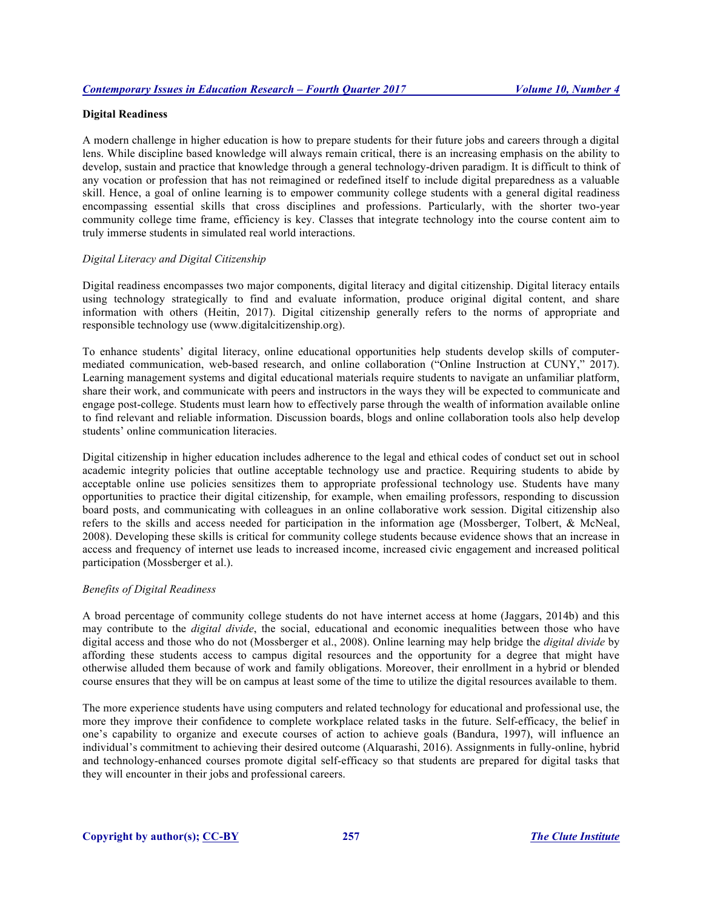# **Digital Readiness**

A modern challenge in higher education is how to prepare students for their future jobs and careers through a digital lens. While discipline based knowledge will always remain critical, there is an increasing emphasis on the ability to develop, sustain and practice that knowledge through a general technology-driven paradigm. It is difficult to think of any vocation or profession that has not reimagined or redefined itself to include digital preparedness as a valuable skill. Hence, a goal of online learning is to empower community college students with a general digital readiness encompassing essential skills that cross disciplines and professions. Particularly, with the shorter two-year community college time frame, efficiency is key. Classes that integrate technology into the course content aim to truly immerse students in simulated real world interactions.

## *Digital Literacy and Digital Citizenship*

Digital readiness encompasses two major components, digital literacy and digital citizenship. Digital literacy entails using technology strategically to find and evaluate information, produce original digital content, and share information with others (Heitin, 2017). Digital citizenship generally refers to the norms of appropriate and responsible technology use (www.digitalcitizenship.org).

To enhance students' digital literacy, online educational opportunities help students develop skills of computermediated communication, web-based research, and online collaboration ("Online Instruction at CUNY," 2017). Learning management systems and digital educational materials require students to navigate an unfamiliar platform, share their work, and communicate with peers and instructors in the ways they will be expected to communicate and engage post-college. Students must learn how to effectively parse through the wealth of information available online to find relevant and reliable information. Discussion boards, blogs and online collaboration tools also help develop students' online communication literacies.

Digital citizenship in higher education includes adherence to the legal and ethical codes of conduct set out in school academic integrity policies that outline acceptable technology use and practice. Requiring students to abide by acceptable online use policies sensitizes them to appropriate professional technology use. Students have many opportunities to practice their digital citizenship, for example, when emailing professors, responding to discussion board posts, and communicating with colleagues in an online collaborative work session. Digital citizenship also refers to the skills and access needed for participation in the information age (Mossberger, Tolbert, & McNeal, 2008). Developing these skills is critical for community college students because evidence shows that an increase in access and frequency of internet use leads to increased income, increased civic engagement and increased political participation (Mossberger et al.).

#### *Benefits of Digital Readiness*

A broad percentage of community college students do not have internet access at home (Jaggars, 2014b) and this may contribute to the *digital divide*, the social, educational and economic inequalities between those who have digital access and those who do not (Mossberger et al., 2008). Online learning may help bridge the *digital divide* by affording these students access to campus digital resources and the opportunity for a degree that might have otherwise alluded them because of work and family obligations. Moreover, their enrollment in a hybrid or blended course ensures that they will be on campus at least some of the time to utilize the digital resources available to them.

The more experience students have using computers and related technology for educational and professional use, the more they improve their confidence to complete workplace related tasks in the future. Self-efficacy, the belief in one's capability to organize and execute courses of action to achieve goals (Bandura, 1997), will influence an individual's commitment to achieving their desired outcome (Alquarashi, 2016). Assignments in fully-online, hybrid and technology-enhanced courses promote digital self-efficacy so that students are prepared for digital tasks that they will encounter in their jobs and professional careers.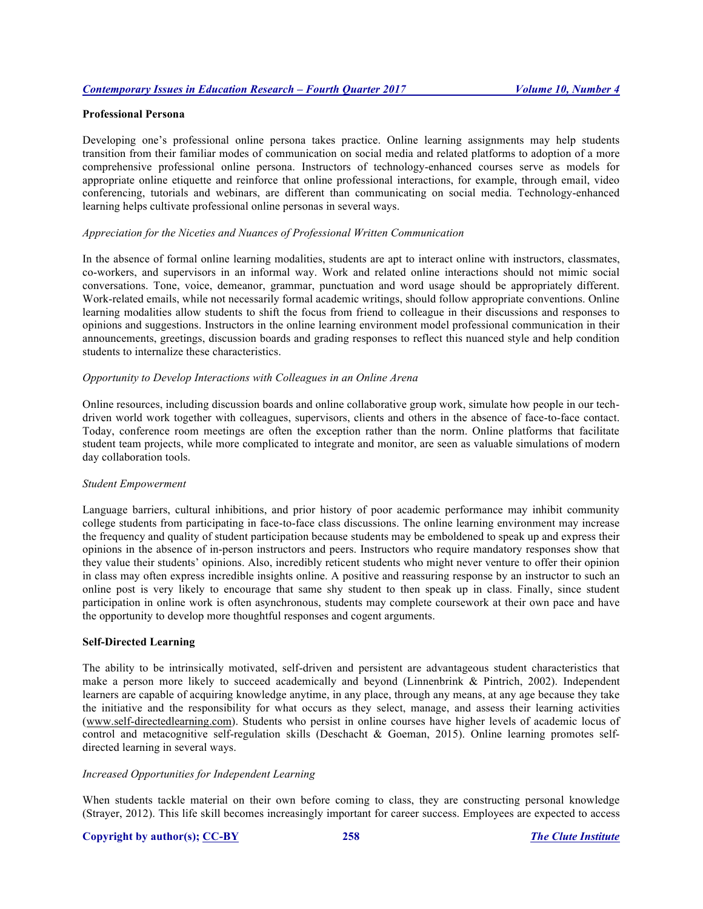# **Professional Persona**

Developing one's professional online persona takes practice. Online learning assignments may help students transition from their familiar modes of communication on social media and related platforms to adoption of a more comprehensive professional online persona. Instructors of technology-enhanced courses serve as models for appropriate online etiquette and reinforce that online professional interactions, for example, through email, video conferencing, tutorials and webinars, are different than communicating on social media. Technology-enhanced learning helps cultivate professional online personas in several ways.

## *Appreciation for the Niceties and Nuances of Professional Written Communication*

In the absence of formal online learning modalities, students are apt to interact online with instructors, classmates, co-workers, and supervisors in an informal way. Work and related online interactions should not mimic social conversations. Tone, voice, demeanor, grammar, punctuation and word usage should be appropriately different. Work-related emails, while not necessarily formal academic writings, should follow appropriate conventions. Online learning modalities allow students to shift the focus from friend to colleague in their discussions and responses to opinions and suggestions. Instructors in the online learning environment model professional communication in their announcements, greetings, discussion boards and grading responses to reflect this nuanced style and help condition students to internalize these characteristics.

#### *Opportunity to Develop Interactions with Colleagues in an Online Arena*

Online resources, including discussion boards and online collaborative group work, simulate how people in our techdriven world work together with colleagues, supervisors, clients and others in the absence of face-to-face contact. Today, conference room meetings are often the exception rather than the norm. Online platforms that facilitate student team projects, while more complicated to integrate and monitor, are seen as valuable simulations of modern day collaboration tools.

#### *Student Empowerment*

Language barriers, cultural inhibitions, and prior history of poor academic performance may inhibit community college students from participating in face-to-face class discussions. The online learning environment may increase the frequency and quality of student participation because students may be emboldened to speak up and express their opinions in the absence of in-person instructors and peers. Instructors who require mandatory responses show that they value their students' opinions. Also, incredibly reticent students who might never venture to offer their opinion in class may often express incredible insights online. A positive and reassuring response by an instructor to such an online post is very likely to encourage that same shy student to then speak up in class. Finally, since student participation in online work is often asynchronous, students may complete coursework at their own pace and have the opportunity to develop more thoughtful responses and cogent arguments.

#### **Self-Directed Learning**

The ability to be intrinsically motivated, self-driven and persistent are advantageous student characteristics that make a person more likely to succeed academically and beyond (Linnenbrink & Pintrich, 2002). Independent learners are capable of acquiring knowledge anytime, in any place, through any means, at any age because they take the initiative and the responsibility for what occurs as they select, manage, and assess their learning activities (www.self-directedlearning.com). Students who persist in online courses have higher levels of academic locus of control and metacognitive self-regulation skills (Deschacht & Goeman, 2015). Online learning promotes selfdirected learning in several ways.

# *Increased Opportunities for Independent Learning*

When students tackle material on their own before coming to class, they are constructing personal knowledge (Strayer, 2012). This life skill becomes increasingly important for career success. Employees are expected to access

#### **Copyright by author(s); CC-BY 258** *The Clute Institute*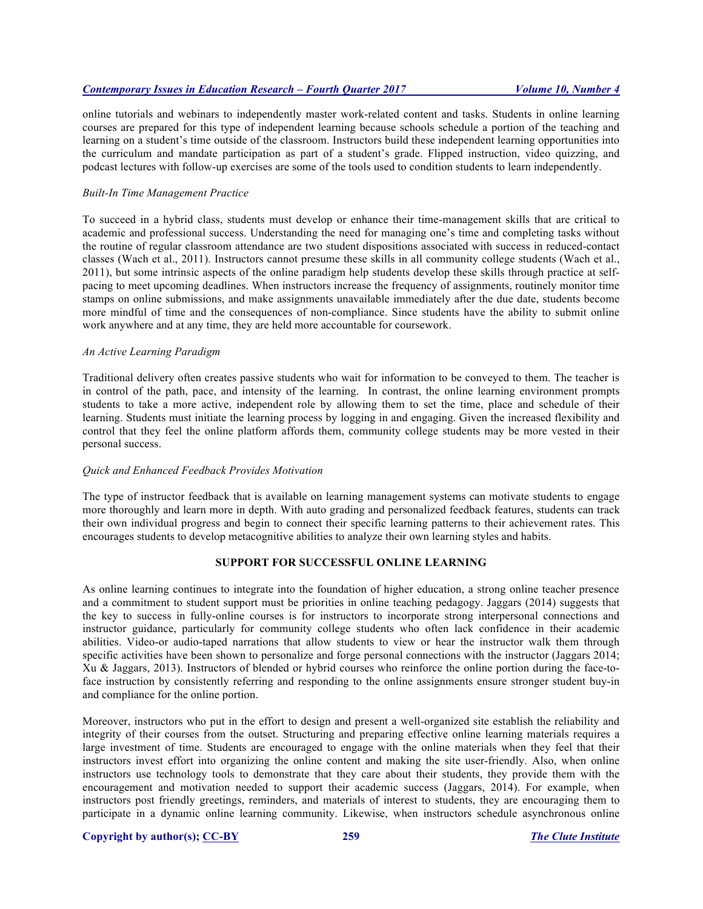online tutorials and webinars to independently master work-related content and tasks. Students in online learning courses are prepared for this type of independent learning because schools schedule a portion of the teaching and learning on a student's time outside of the classroom. Instructors build these independent learning opportunities into the curriculum and mandate participation as part of a student's grade. Flipped instruction, video quizzing, and podcast lectures with follow-up exercises are some of the tools used to condition students to learn independently.

## *Built-In Time Management Practice*

To succeed in a hybrid class, students must develop or enhance their time-management skills that are critical to academic and professional success. Understanding the need for managing one's time and completing tasks without the routine of regular classroom attendance are two student dispositions associated with success in reduced-contact classes (Wach et al., 2011). Instructors cannot presume these skills in all community college students (Wach et al., 2011), but some intrinsic aspects of the online paradigm help students develop these skills through practice at selfpacing to meet upcoming deadlines. When instructors increase the frequency of assignments, routinely monitor time stamps on online submissions, and make assignments unavailable immediately after the due date, students become more mindful of time and the consequences of non-compliance. Since students have the ability to submit online work anywhere and at any time, they are held more accountable for coursework.

#### *An Active Learning Paradigm*

Traditional delivery often creates passive students who wait for information to be conveyed to them. The teacher is in control of the path, pace, and intensity of the learning. In contrast, the online learning environment prompts students to take a more active, independent role by allowing them to set the time, place and schedule of their learning. Students must initiate the learning process by logging in and engaging. Given the increased flexibility and control that they feel the online platform affords them, community college students may be more vested in their personal success.

## *Quick and Enhanced Feedback Provides Motivation*

The type of instructor feedback that is available on learning management systems can motivate students to engage more thoroughly and learn more in depth. With auto grading and personalized feedback features, students can track their own individual progress and begin to connect their specific learning patterns to their achievement rates. This encourages students to develop metacognitive abilities to analyze their own learning styles and habits.

# **SUPPORT FOR SUCCESSFUL ONLINE LEARNING**

As online learning continues to integrate into the foundation of higher education, a strong online teacher presence and a commitment to student support must be priorities in online teaching pedagogy. Jaggars (2014) suggests that the key to success in fully-online courses is for instructors to incorporate strong interpersonal connections and instructor guidance, particularly for community college students who often lack confidence in their academic abilities. Video-or audio-taped narrations that allow students to view or hear the instructor walk them through specific activities have been shown to personalize and forge personal connections with the instructor (Jaggars 2014; Xu & Jaggars, 2013). Instructors of blended or hybrid courses who reinforce the online portion during the face-toface instruction by consistently referring and responding to the online assignments ensure stronger student buy-in and compliance for the online portion.

Moreover, instructors who put in the effort to design and present a well-organized site establish the reliability and integrity of their courses from the outset. Structuring and preparing effective online learning materials requires a large investment of time. Students are encouraged to engage with the online materials when they feel that their instructors invest effort into organizing the online content and making the site user-friendly. Also, when online instructors use technology tools to demonstrate that they care about their students, they provide them with the encouragement and motivation needed to support their academic success (Jaggars, 2014). For example, when instructors post friendly greetings, reminders, and materials of interest to students, they are encouraging them to participate in a dynamic online learning community. Likewise, when instructors schedule asynchronous online

#### **Copyright by author(s); CC-BY 259** *The Clute Institute*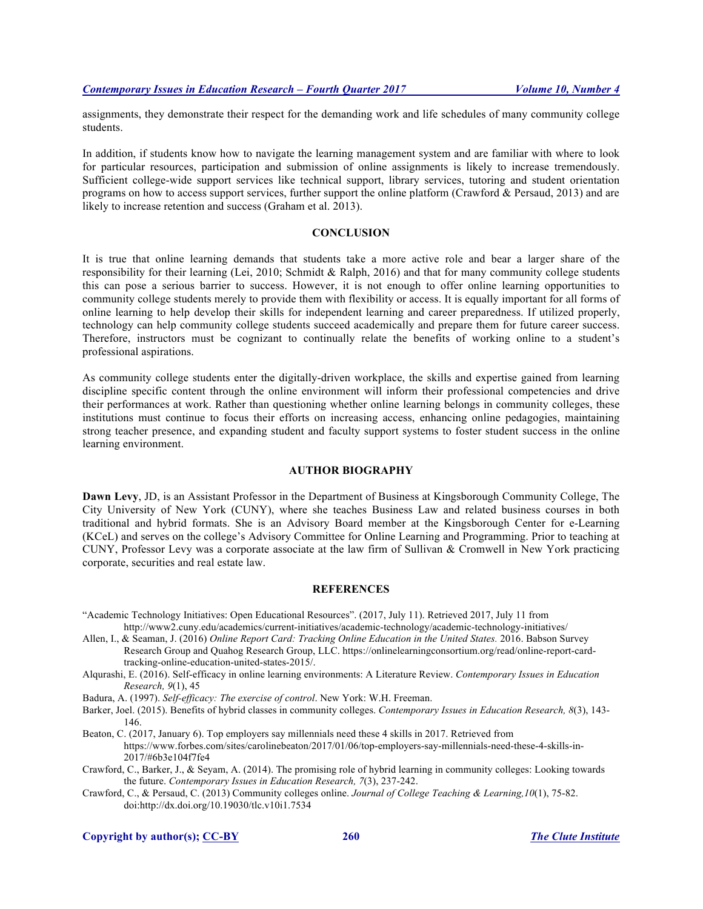assignments, they demonstrate their respect for the demanding work and life schedules of many community college students.

In addition, if students know how to navigate the learning management system and are familiar with where to look for particular resources, participation and submission of online assignments is likely to increase tremendously. Sufficient college-wide support services like technical support, library services, tutoring and student orientation programs on how to access support services, further support the online platform (Crawford & Persaud, 2013) and are likely to increase retention and success (Graham et al. 2013).

## **CONCLUSION**

It is true that online learning demands that students take a more active role and bear a larger share of the responsibility for their learning (Lei, 2010; Schmidt & Ralph, 2016) and that for many community college students this can pose a serious barrier to success. However, it is not enough to offer online learning opportunities to community college students merely to provide them with flexibility or access. It is equally important for all forms of online learning to help develop their skills for independent learning and career preparedness. If utilized properly, technology can help community college students succeed academically and prepare them for future career success. Therefore, instructors must be cognizant to continually relate the benefits of working online to a student's professional aspirations.

As community college students enter the digitally-driven workplace, the skills and expertise gained from learning discipline specific content through the online environment will inform their professional competencies and drive their performances at work. Rather than questioning whether online learning belongs in community colleges, these institutions must continue to focus their efforts on increasing access, enhancing online pedagogies, maintaining strong teacher presence, and expanding student and faculty support systems to foster student success in the online learning environment.

## **AUTHOR BIOGRAPHY**

**Dawn Levy**, JD, is an Assistant Professor in the Department of Business at Kingsborough Community College, The City University of New York (CUNY), where she teaches Business Law and related business courses in both traditional and hybrid formats. She is an Advisory Board member at the Kingsborough Center for e-Learning (KCeL) and serves on the college's Advisory Committee for Online Learning and Programming. Prior to teaching at CUNY, Professor Levy was a corporate associate at the law firm of Sullivan & Cromwell in New York practicing corporate, securities and real estate law.

#### **REFERENCES**

"Academic Technology Initiatives: Open Educational Resources". (2017, July 11). Retrieved 2017, July 11 from http://www2.cuny.edu/academics/current-initiatives/academic-technology/academic-technology-initiatives/

- Allen, I., & Seaman, J. (2016) *Online Report Card: Tracking Online Education in the United States.* 2016. Babson Survey Research Group and Quahog Research Group, LLC. https://onlinelearningconsortium.org/read/online-report-cardtracking-online-education-united-states-2015/.
- Alqurashi, E. (2016). Self-efficacy in online learning environments: A Literature Review. *Contemporary Issues in Education Research, 9*(1), 45
- Badura, A. (1997). *Self-efficacy: The exercise of control*. New York: W.H. Freeman.
- Barker, Joel. (2015). Benefits of hybrid classes in community colleges. *Contemporary Issues in Education Research, 8*(3), 143- 146.

Beaton, C. (2017, January 6). Top employers say millennials need these 4 skills in 2017. Retrieved from https://www.forbes.com/sites/carolinebeaton/2017/01/06/top-employers-say-millennials-need-these-4-skills-in-2017/#6b3e104f7fe4

Crawford, C., Barker, J., & Seyam, A. (2014). The promising role of hybrid learning in community colleges: Looking towards the future. *Contemporary Issues in Education Research, 7*(3), 237-242.

Crawford, C., & Persaud, C. (2013) Community colleges online. *Journal of College Teaching & Learning,10*(1), 75-82. doi:http://dx.doi.org/10.19030/tlc.v10i1.7534

**Copyright by author(s); CC-BY 260** *The Clute Institute*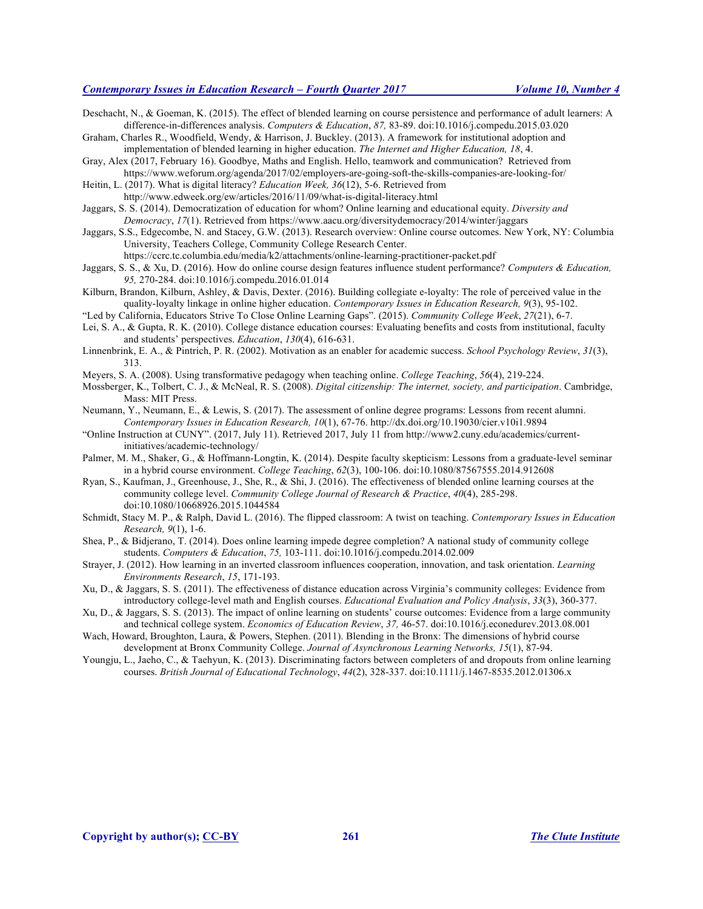Deschacht, N., & Goeman, K. (2015). The effect of blended learning on course persistence and performance of adult learners: A difference-in-differences analysis. *Computers & Education*, *87,* 83-89. doi:10.1016/j.compedu.2015.03.020

Graham, Charles R., Woodfield, Wendy, & Harrison, J. Buckley. (2013). A framework for institutional adoption and implementation of blended learning in higher education. *The Internet and Higher Education, 18*, 4.

Gray, Alex (2017, February 16). Goodbye, Maths and English. Hello, teamwork and communication? Retrieved from https://www.weforum.org/agenda/2017/02/employers-are-going-soft-the-skills-companies-are-looking-for/

Heitin, L. (2017). What is digital literacy? *Education Week, 36*(12), 5-6. Retrieved from http://www.edweek.org/ew/articles/2016/11/09/what-is-digital-literacy.html

Jaggars, S. S. (2014). Democratization of education for whom? Online learning and educational equity. *Diversity and Democracy*, *17*(1). Retrieved from https://www.aacu.org/diversitydemocracy/2014/winter/jaggars

Jaggars, S.S., Edgecombe, N. and Stacey, G.W. (2013). Research overview: Online course outcomes. New York, NY: Columbia University, Teachers College, Community College Research Center. https://ccrc.tc.columbia.edu/media/k2/attachments/online-learning-practitioner-packet.pdf

Jaggars, S. S., & Xu, D. (2016). How do online course design features influence student performance? *Computers & Education, 95,* 270-284. doi:10.1016/j.compedu.2016.01.014

Kilburn, Brandon, Kilburn, Ashley, & Davis, Dexter. (2016). Building collegiate e-loyalty: The role of perceived value in the quality-loyalty linkage in online higher education. *Contemporary Issues in Education Research, 9*(3), 95-102.

"Led by California, Educators Strive To Close Online Learning Gaps". (2015). *Community College Week*, *27*(21), 6-7.

Lei, S. A., & Gupta, R. K. (2010). College distance education courses: Evaluating benefits and costs from institutional, faculty and students' perspectives. *Education*, *130*(4), 616-631.

Linnenbrink, E. A., & Pintrich, P. R. (2002). Motivation as an enabler for academic success. *School Psychology Review*, *31*(3), 313.

Meyers, S. A. (2008). Using transformative pedagogy when teaching online. *College Teaching*, *56*(4), 219-224.

- Mossberger, K., Tolbert, C. J., & McNeal, R. S. (2008). *Digital citizenship: The internet, society, and participation*. Cambridge, Mass: MIT Press.
- Neumann, Y., Neumann, E., & Lewis, S. (2017). The assessment of online degree programs: Lessons from recent alumni. *Contemporary Issues in Education Research, 10*(1), 67-76. http://dx.doi.org/10.19030/cier.v10i1.9894
- "Online Instruction at CUNY". (2017, July 11). Retrieved 2017, July 11 from http://www2.cuny.edu/academics/currentinitiatives/academic-technology/
- Palmer, M. M., Shaker, G., & Hoffmann-Longtin, K. (2014). Despite faculty skepticism: Lessons from a graduate-level seminar in a hybrid course environment. *College Teaching*, *62*(3), 100-106. doi:10.1080/87567555.2014.912608

Ryan, S., Kaufman, J., Greenhouse, J., She, R., & Shi, J. (2016). The effectiveness of blended online learning courses at the community college level. *Community College Journal of Research & Practice*, *40*(4), 285-298. doi:10.1080/10668926.2015.1044584

Schmidt, Stacy M. P., & Ralph, David L. (2016). The flipped classroom: A twist on teaching. *Contemporary Issues in Education Research, 9*(1), 1-6.

Shea, P., & Bidjerano, T. (2014). Does online learning impede degree completion? A national study of community college students. *Computers & Education*, *75,* 103-111. doi:10.1016/j.compedu.2014.02.009

Strayer, J. (2012). How learning in an inverted classroom influences cooperation, innovation, and task orientation. *Learning Environments Research*, *15*, 171-193.

Xu, D., & Jaggars, S. S. (2011). The effectiveness of distance education across Virginia's community colleges: Evidence from introductory college-level math and English courses. *Educational Evaluation and Policy Analysis*, *33*(3), 360-377.

Xu, D., & Jaggars, S. S. (2013). The impact of online learning on students' course outcomes: Evidence from a large community and technical college system. *Economics of Education Review*, *37,* 46-57. doi:10.1016/j.econedurev.2013.08.001

Wach, Howard, Broughton, Laura, & Powers, Stephen. (2011). Blending in the Bronx: The dimensions of hybrid course development at Bronx Community College. *Journal of Asynchronous Learning Networks, 15*(1), 87-94.

Youngju, L., Jaeho, C., & Taehyun, K. (2013). Discriminating factors between completers of and dropouts from online learning courses. *British Journal of Educational Technology*, *44*(2), 328-337. doi:10.1111/j.1467-8535.2012.01306.x